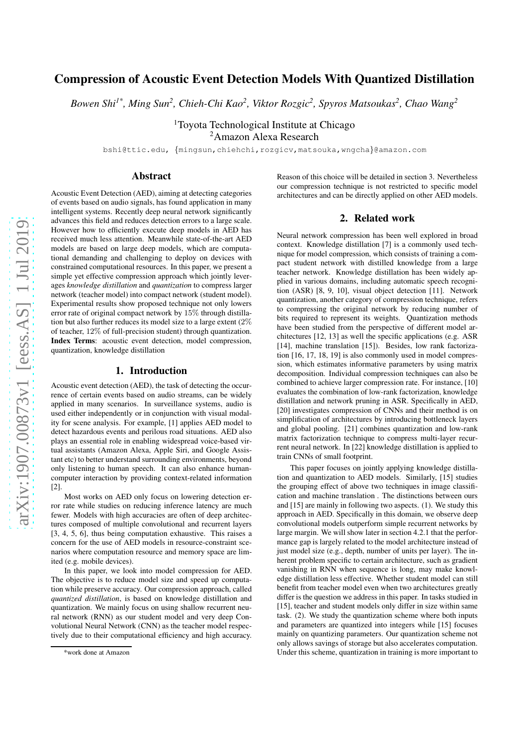# arXiv:1907.00873v1 [eess.AS] 1 Jul 2019 [arXiv:1907.00873v1 \[eess.AS\] 1 Jul 2019](http://arxiv.org/abs/1907.00873v1)

# Compression of Acoustic Event Detection Models With Quantized Distillation

*Bowen Shi1\*, Ming Sun<sup>2</sup> , Chieh-Chi Kao<sup>2</sup> , Viktor Rozgic<sup>2</sup> , Spyros Matsoukas<sup>2</sup> , Chao Wang<sup>2</sup>*

<sup>1</sup>Toyota Technological Institute at Chicago <sup>2</sup>Amazon Alexa Research

bshi@ttic.edu, {mingsun,chiehchi,rozgicv,matsouka,wngcha}@amazon.com

# Abstract

Acoustic Event Detection (AED), aiming at detecting categories of events based on audio signals, has found application in many intelligent systems. Recently deep neural network significantly advances this field and reduces detection errors to a large scale. However how to efficiently execute deep models in AED has received much less attention. Meanwhile state-of-the-art AED models are based on large deep models, which are computational demanding and challenging to deploy on devices with constrained computational resources. In this paper, we present a simple yet effective compression approach which jointly leverages *knowledge distillation* and *quantization* to compress larger network (teacher model) into compact network (student model). Experimental results show proposed technique not only lowers error rate of original compact network by 15% through distillation but also further reduces its model size to a large extent (2% of teacher, 12% of full-precision student) through quantization. Index Terms: acoustic event detection, model compression, quantization, knowledge distillation

### 1. Introduction

Acoustic event detection (AED), the task of detecting the occurrence of certain events based on audio streams, can be widely applied in many scenarios. In surveillance systems, audio is used either independently or in conjunction with visual modality for scene analysis. For example, [1] applies AED model to detect hazardous events and perilous road situations. AED also plays an essential role in enabling widespread voice-based virtual assistants (Amazon Alexa, Apple Siri, and Google Assistant etc) to better understand surrounding environments, beyond only listening to human speech. It can also enhance humancomputer interaction by providing context-related information [2].

Most works on AED only focus on lowering detection error rate while studies on reducing inference latency are much fewer. Models with high accuracies are often of deep architectures composed of multiple convolutional and recurrent layers [3, 4, 5, 6], thus being computation exhaustive. This raises a concern for the use of AED models in resource-constraint scenarios where computation resource and memory space are limited (e.g. mobile devices).

In this paper, we look into model compression for AED. The objective is to reduce model size and speed up computation while preserve accuracy. Our compression approach, called *quantized distillation*, is based on knowledge distillation and quantization. We mainly focus on using shallow recurrent neural network (RNN) as our student model and very deep Convolutional Neural Network (CNN) as the teacher model respectively due to their computational efficiency and high accuracy.

Reason of this choice will be detailed in section 3. Nevertheless our compression technique is not restricted to specific model architectures and can be directly applied on other AED models.

### 2. Related work

Neural network compression has been well explored in broad context. Knowledge distillation [7] is a commonly used technique for model compression, which consists of training a compact student network with distilled knowledge from a large teacher network. Knowledge distillation has been widely applied in various domains, including automatic speech recognition (ASR) [8, 9, 10], visual object detection [11]. Network quantization, another category of compression technique, refers to compressing the original network by reducing number of bits required to represent its weights. Quantization methods have been studied from the perspective of different model architectures [12, 13] as well the specific applications (e.g. ASR [14], machine translation [15]). Besides, low rank factorization [16, 17, 18, 19] is also commonly used in model compression, which estimates informative parameters by using matrix decomposition. Individual compression techniques can also be combined to achieve larger compression rate. For instance, [10] evaluates the combination of low-rank factorization, knowledge distillation and network pruning in ASR. Specifically in AED, [20] investigates compression of CNNs and their method is on simplification of architectures by introducing bottleneck layers and global pooling. [21] combines quantization and low-rank matrix factorization technique to compress multi-layer recurrent neural network. In [22] knowledge distillation is applied to train CNNs of small footprint.

This paper focuses on jointly applying knowledge distillation and quantization to AED models. Similarly, [15] studies the grouping effect of above two techniques in image classification and machine translation . The distinctions between ours and [15] are mainly in following two aspects. (1). We study this approach in AED. Specifically in this domain, we observe deep convolutional models outperform simple recurrent networks by large margin. We will show later in section 4.2.1 that the performance gap is largely related to the model architecture instead of just model size (e.g., depth, number of units per layer). The inherent problem specific to certain architecture, such as gradient vanishing in RNN when sequence is long, may make knowledge distillation less effective. Whether student model can still benefit from teacher model even when two architectures greatly differ is the question we address in this paper. In tasks studied in [15], teacher and student models only differ in size within same task. (2). We study the quantization scheme where both inputs and parameters are quantized into integers while [15] focuses mainly on quantizing parameters. Our quantization scheme not only allows savings of storage but also accelerates computation. Under this scheme, quantization in training is more important to

<sup>\*</sup>work done at Amazon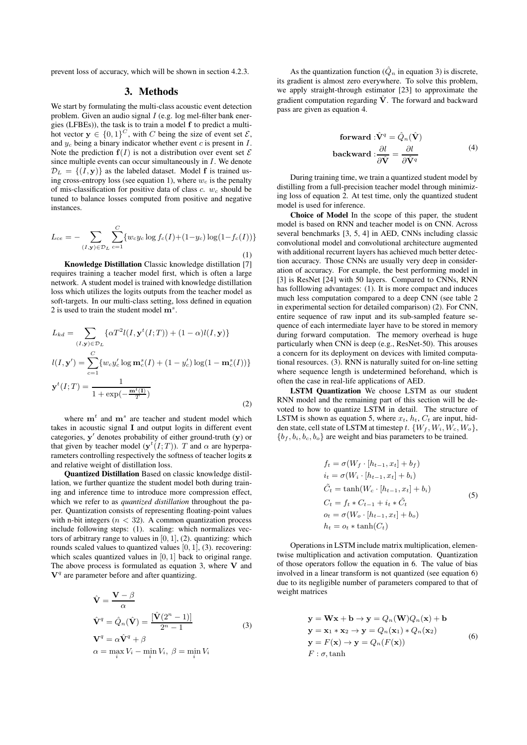prevent loss of accuracy, which will be shown in section 4.2.3.

### 3. Methods

We start by formulating the multi-class acoustic event detection problem. Given an audio signal  $I$  (e.g. log mel-filter bank energies (LFBEs)), the task is to train a model f to predict a multihot vector  $y \in \{0,1\}^C$ , with C being the size of event set  $\mathcal{E}$ , and  $y_c$  being a binary indicator whether event c is present in  $I$ . Note the prediction  $f(I)$  is not a distribution over event set  $\mathcal E$ since multiple events can occur simultaneously in  $I$ . We denote  $\mathcal{D}_L = \{(I, \mathbf{y})\}$  as the labeled dataset. Model f is trained using cross-entropy loss (see equation 1), where  $w_c$  is the penalty of mis-classification for positive data of class c.  $w_c$  should be tuned to balance losses computed from positive and negative instances.

$$
L_{ce} = -\sum_{(I,\mathbf{y}) \in \mathcal{D}_L} \sum_{c=1}^{C} \{w_c y_c \log f_c(I) + (1 - y_c) \log(1 - f_c(I))\}
$$
\n(1)

Knowledge Distillation Classic knowledge distillation [7] requires training a teacher model first, which is often a large network. A student model is trained with knowledge distillation loss which utilizes the logits outputs from the teacher model as soft-targets. In our multi-class setting, loss defined in equation 2 is used to train the student model  $\mathbf{m}^s$ .

$$
L_{kd} = \sum_{(I,\mathbf{y}) \in \mathcal{D}_L} \{ \alpha T^2 l(I, \mathbf{y}^t(I;T)) + (1 - \alpha) l(I, \mathbf{y}) \}
$$
  

$$
l(I, \mathbf{y}') = \sum_{c=1}^C \{ w_c y_c' \log \mathbf{m}_c^s(I) + (1 - y_c') \log(1 - \mathbf{m}_c^s(I)) \}
$$
  

$$
\mathbf{y}^t(I;T) = \frac{1}{1 + \exp(-\frac{\mathbf{m}^t(I)}{T})}
$$
 (2)

where  $m<sup>t</sup>$  and  $m<sup>s</sup>$  are teacher and student model which takes in acoustic signal I and output logits in different event categories, y ′ denotes probability of either ground-truth (y) or that given by teacher model  $(y^t(I;T))$ . T and  $\alpha$  are hyperparameters controlling respectively the softness of teacher logits z and relative weight of distillation loss.

Quantized Distillation Based on classic knowledge distillation, we further quantize the student model both during training and inference time to introduce more compression effect, which we refer to as *quantized distillation* throughout the paper. Quantization consists of representing floating-point values with n-bit integers ( $n < 32$ ). A common quantization process include following steps: (1). scaling: which normalizes vectors of arbitrary range to values in  $[0, 1]$ ,  $(2)$ . quantizing: which rounds scaled values to quantized values [0, 1], (3). recovering: which scales quantized values in [0, 1] back to original range. The above process is formulated as equation 3, where  $V$  and  $V<sup>q</sup>$  are parameter before and after quantizing.

$$
\hat{\mathbf{V}} = \frac{\mathbf{V} - \beta}{\alpha}
$$
\n
$$
\hat{\mathbf{V}}^{q} = \hat{Q}_{n}(\hat{\mathbf{V}}) = \frac{[\hat{\mathbf{V}}(2^{n} - 1)]}{2^{n} - 1}
$$
\n
$$
\mathbf{V}^{q} = \alpha \hat{\mathbf{V}}^{q} + \beta
$$
\n
$$
\alpha = \max_{i} V_{i} - \min_{i} V_{i}, \ \beta = \min_{i} V_{i}
$$
\n(3)

As the quantization function  $(\hat{Q}_n)$  in equation 3) is discrete, its gradient is almost zero everywhere. To solve this problem, we apply straight-through estimator [23] to approximate the gradient computation regarding  $\hat{V}$ . The forward and backward pass are given as equation 4.

forward : 
$$
\hat{\mathbf{V}}^q = \hat{Q}_n(\hat{\mathbf{V}})
$$
  
backward :  $\frac{\partial l}{\partial \hat{\mathbf{V}}} = \frac{\partial l}{\partial \hat{\mathbf{V}}^q}$  (4)

During training time, we train a quantized student model by distilling from a full-precision teacher model through minimizing loss of equation 2. At test time, only the quantized student model is used for inference.

Choice of Model In the scope of this paper, the student model is based on RNN and teacher model is on CNN. Across several benchmarks [3, 5, 4] in AED, CNNs including classic convolutional model and convolutional architecture augmented with additional recurrent layers has achieved much better detection accuracy. Those CNNs are usually very deep in consideration of accuracy. For example, the best performing model in [3] is ResNet [24] with 50 layers. Compared to CNNs, RNN has folllowing advantages: (1). It is more compact and induces much less computation compared to a deep CNN (see table 2 in experimental section for detailed comparison) (2). For CNN, entire sequence of raw input and its sub-sampled feature sequence of each intermediate layer have to be stored in memory during forward computation. The memory overhead is huge particularly when CNN is deep (e.g., ResNet-50). This arouses a concern for its deployment on devices with limited computational resources. (3). RNN is naturally suited for on-line setting where sequence length is undetermined beforehand, which is often the case in real-life applications of AED.

LSTM Quantization We choose LSTM as our student RNN model and the remaining part of this section will be devoted to how to quantize LSTM in detail. The structure of LSTM is shown as equation 5, where  $x_t$ ,  $h_t$ ,  $C_t$  are input, hidden state, cell state of LSTM at timestep t.  $\{W_f, W_i, W_c, W_o\}$ ,  ${b_f, b_i, b_c, b_o}$  are weight and bias parameters to be trained.

$$
f_t = \sigma(W_f \cdot [h_{t-1}, x_t] + b_f)
$$
  
\n
$$
i_t = \sigma(W_i \cdot [h_{t-1}, x_t] + b_i)
$$
  
\n
$$
\tilde{C}_t = \tanh(W_c \cdot [h_{t-1}, x_t] + b_i)
$$
  
\n
$$
C_t = f_t * C_{t-1} + i_t * \tilde{C}_t
$$
  
\n
$$
o_t = \sigma(W_o \cdot [h_{t-1}, x_t] + b_o)
$$
  
\n
$$
h_t = o_t * \tanh(C_t)
$$
 (5)

Operations in LSTM include matrix multiplication, elementwise multiplication and activation computation. Quantization of those operators follow the equation in 6. The value of bias involved in a linear transform is not quantized (see equation 6) due to its negligible number of parameters compared to that of weight matrices

$$
\mathbf{y} = \mathbf{W}\mathbf{x} + \mathbf{b} \rightarrow \mathbf{y} = Q_n(\mathbf{W})Q_n(\mathbf{x}) + \mathbf{b}
$$
  
\n
$$
\mathbf{y} = \mathbf{x}_1 * \mathbf{x}_2 \rightarrow \mathbf{y} = Q_n(\mathbf{x}_1) * Q_n(\mathbf{x}_2)
$$
  
\n
$$
\mathbf{y} = F(\mathbf{x}) \rightarrow \mathbf{y} = Q_n(F(\mathbf{x}))
$$
  
\n
$$
F : \sigma, \tanh
$$
\n(6)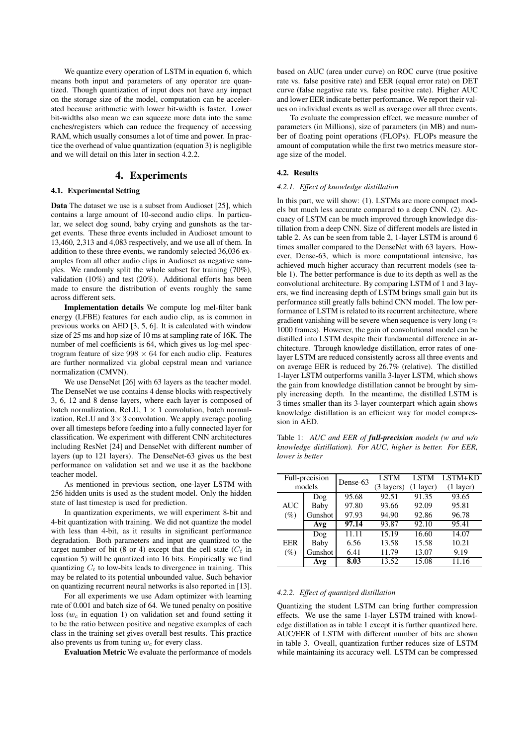We quantize every operation of LSTM in equation 6, which means both input and parameters of any operator are quantized. Though quantization of input does not have any impact on the storage size of the model, computation can be accelerated because arithmetic with lower bit-width is faster. Lower bit-widths also mean we can squeeze more data into the same caches/registers which can reduce the frequency of accessing RAM, which usually consumes a lot of time and power. In practice the overhead of value quantization (equation 3) is negligible and we will detail on this later in section 4.2.2.

# 4. Experiments

## 4.1. Experimental Setting

Data The dataset we use is a subset from Audioset [25], which contains a large amount of 10-second audio clips. In particular, we select dog sound, baby crying and gunshots as the target events. These three events included in Audioset amount to 13,460, 2,313 and 4,083 respectively, and we use all of them. In addition to these three events, we randomly selected 36,036 examples from all other audio clips in Audioset as negative samples. We randomly split the whole subset for training (70%), validation (10%) and test (20%). Additional efforts has been made to ensure the distribution of events roughly the same across different sets.

Implementation details We compute log mel-filter bank energy (LFBE) features for each audio clip, as is common in previous works on AED [3, 5, 6]. It is calculated with window size of 25 ms and hop size of 10 ms at sampling rate of 16K. The number of mel coefficients is 64, which gives us log-mel spectrogram feature of size  $998 \times 64$  for each audio clip. Features are further normalized via global cepstral mean and variance normalization (CMVN).

We use DenseNet [26] with 63 layers as the teacher model. The DenseNet we use contains 4 dense blocks with respectively 3, 6, 12 and 8 dense layers, where each layer is composed of batch normalization, ReLU,  $1 \times 1$  convolution, batch normalization, ReLU and  $3 \times 3$  convolution. We apply average pooling over all timesteps before feeding into a fully connected layer for classification. We experiment with different CNN architectures including ResNet [24] and DenseNet with different number of layers (up to 121 layers). The DenseNet-63 gives us the best performance on validation set and we use it as the backbone teacher model.

As mentioned in previous section, one-layer LSTM with 256 hidden units is used as the student model. Only the hidden state of last timestep is used for prediction.

In quantization experiments, we will experiment 8-bit and 4-bit quantization with training. We did not quantize the model with less than 4-bit, as it results in significant performance degradation. Both parameters and input are quantized to the target number of bit (8 or 4) except that the cell state  $(C_t$  in equation 5) will be quantized into 16 bits. Empirically we find quantizing  $C_t$  to low-bits leads to divergence in training. This may be related to its potential unbounded value. Such behavior on quantizing recurrent neural networks is also reported in [13].

For all experiments we use Adam optimizer with learning rate of 0.001 and batch size of 64. We tuned penalty on positive loss ( $w_c$  in equation 1) on validation set and found setting it to be the ratio between positive and negative examples of each class in the training set gives overall best results. This practice also prevents us from tuning  $w_c$  for every class.

Evaluation Metric We evaluate the performance of models

based on AUC (area under curve) on ROC curve (true positive rate vs. false positive rate) and EER (equal error rate) on DET curve (false negative rate vs. false positive rate). Higher AUC and lower EER indicate better performance. We report their values on individual events as well as average over all three events.

To evaluate the compression effect, we measure number of parameters (in Millions), size of parameters (in MB) and number of floating point operations (FLOPs). FLOPs measure the amount of computation while the first two metrics measure storage size of the model.

### 4.2. Results

### *4.2.1. Effect of knowledge distillation*

In this part, we will show: (1). LSTMs are more compact models but much less accurate compared to a deep CNN. (2). Accuacy of LSTM can be much improved through knowledge distillation from a deep CNN. Size of different models are listed in table 2. As can be seen from table 2, 1-layer LSTM is around 6 times smaller compared to the DenseNet with 63 layers. However, Dense-63, which is more computational intensive, has achieved much higher accuracy than recurrent models (see table 1). The better performance is due to its depth as well as the convolutional architecture. By comparing LSTM of 1 and 3 layers, we find increasing depth of LSTM brings small gain but its performance still greatly falls behind CNN model. The low performance of LSTM is related to its recurrent architecture, where gradient vanishing will be severe when sequence is very long ( $\approx$ 1000 frames). However, the gain of convolutional model can be distilled into LSTM despite their fundamental difference in architecture. Through knowledge distillation, error rates of onelayer LSTM are reduced consistently across all three events and on average EER is reduced by 26.7% (relative). The distilled 1-layer LSTM outperforms vanilla 3-layer LSTM, which shows the gain from knowledge distillation cannot be brought by simply increasing depth. In the meantime, the distilled LSTM is 3 times smaller than its 3-layer counterpart which again shows knowledge distillation is an efficient way for model compression in AED.

Table 1: *AUC and EER of full-precision models (w and w/o knowledge distillation). For AUC, higher is better. For EER, lower is better*

| Full-precision<br>models |         |          | <b>LSTM</b>          | <b>LSTM</b> | LSTM+KD     |
|--------------------------|---------|----------|----------------------|-------------|-------------|
|                          |         | Dense-63 | $(3 \text{ layers})$ | $(1$ layer) | $(1$ layer) |
|                          | Dog     | 95.68    | 92.51                | 91.35       | 93.65       |
| AUC                      | Baby    | 97.80    | 93.66                | 92.09       | 95.81       |
| $(\%)$                   | Gunshot | 97.93    | 94.90                | 92.86       | 96.78       |
|                          | Avg     | 97.14    | 93.87                | 92.10       | 95.41       |
|                          | Dog     | 11.11    | 15.19                | 16.60       | 14.07       |
| EER                      | Baby    | 6.56     | 13.58                | 15.58       | 10.21       |
| $(\%)$                   | Gunshot | 6.41     | 11.79                | 13.07       | 9.19        |
|                          | Avg     | 8.03     | 13.52                | 15.08       | 11.16       |

### *4.2.2. Effect of quantized distillation*

Quantizing the student LSTM can bring further compression effects. We use the same 1-layer LSTM trained with knowledge distillation as in table 1 except it is further quantized here. AUC/EER of LSTM with different number of bits are shown in table 3. Oveall, quantization further reduces size of LSTM while maintaining its accuracy well. LSTM can be compressed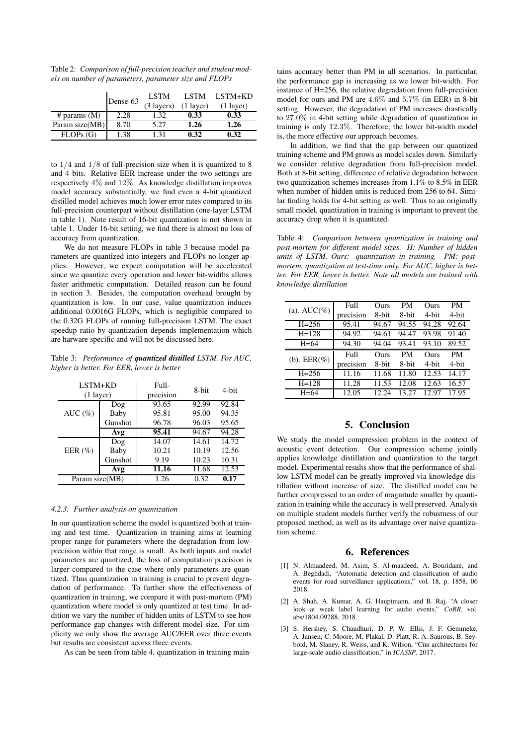Table 2: *Comparison of full-precision teacher and student models on number of parameters, parameter size and FLOPs*

|                | Dense-63 | <b>LSTM</b><br>(3 layers) | <b>LSTM</b><br>$(1$ layer) | LSTM+KD<br>$(1 \text{ layer})$ |
|----------------|----------|---------------------------|----------------------------|--------------------------------|
| # params $(M)$ | 2.28     | 1.32                      | 0.33                       | 0.33                           |
| Param size(MB) | 8.70     | 5.27                      | 1.26                       | 1.26                           |
| FLOPs(G)       | 1.38     | 131                       | 0.32                       | 0.32                           |

to  $1/4$  and  $1/8$  of full-precision size when it is quantized to 8 and 4 bits. Relative EER increase under the two settings are respectively 4% and 12%. As knowledge distillation improves model accuracy substantially, we find even a 4-bit quantized distilled model achieves much lower error rates compared to its full-precision counterpart without distillation (one-layer LSTM in table 1). Note result of 16-bit quantization is not shown in table 1. Under 16-bit setting, we find there is almost no loss of accuracy from quantization.

We do not measure FLOPs in table 3 because model parameters are quantized into integers and FLOPs no longer applies. However, we expect computation will be accelerated since we quantize every operation and lower bit-widths allows faster arithmetic computation. Detailed reason can be found in section 3. Besides, the computation overhead brought by quantization is low. In our case, value quantization induces additional 0.0016G FLOPs, which is negligible compared to the 0.32G FLOPs of running full-precision LSTM. The exact speedup ratio by quantization depends implementation which are harware specific and will not be discussed here.

Table 3: *Performance of quantized distilled LSTM. For AUC, higher is better. For EER, lower is better*

| LSTM+KD<br>$(1$ layer) |         | Full-<br>precision | 8-bit | 4-bit |
|------------------------|---------|--------------------|-------|-------|
|                        | Dog     | 93.65              | 92.99 | 92.84 |
| AUC $(\%)$             | Baby    | 95.81              | 95.00 | 94.35 |
|                        | Gunshot | 96.78              | 96.03 | 95.65 |
|                        | Avg     | 95.41              | 94.67 | 94.28 |
|                        | Dog     | 14.07              | 14.61 | 14.72 |
| EER $(\%)$             | Baby    | 10.21              | 10.19 | 12.56 |
|                        | Gunshot | 9.19               | 10.23 | 10.31 |
|                        | Avg     | 11.16              | 11.68 | 12.53 |
| Param size(MB)         |         | 1.26               | 0.32  | 0.17  |

### *4.2.3. Further analysis on quantization*

In our quantization scheme the model is quantized both at training and test time. Quantization in training aims at learning proper range for parameters where the degradation from lowprecision within that range is small. As both inputs and model parameters are quantized, the loss of computation precision is larger compared to the case where only parameters are quantized. Thus quantization in training is crucial to prevent degradation of performance. To further show the effectiveness of quantization in training, we compare it with post-mortem (PM) quantization where model is only quantized at test time. In addition we vary the number of hidden units of LSTM to see how performance gap changes with different model size. For simplicity we only show the average AUC/EER over three events but results are consistent acorss three events.

As can be seen from table 4, quantization in training main-

tains accuracy better than PM in all scenarios. In particular, the performance gap is increasing as we lower bit-width. For instance of H=256, the relative degradation from full-precision model for ours and PM are 4.6% and 5.7% (in EER) in 8-bit setting. However, the degradation of PM increases drastically to 27.0% in 4-bit setting while degradation of quantization in training is only 12.3%. Therefore, the lower bit-width model is, the more effective our approach becomes.

In addition, we find that the gap between our quantized training scheme and PM grows as model scales down. Similarly we consider relative degradation from full-precision model. Both at 8-bit setting, difference of relative degradation between two quantization schemes increases from 1.1% to 8.5% in EER when number of hidden units is reduced from 256 to 64. Similar finding holds for 4-bit setting as well. Thus to an originally small model, quantization in training is important to prevent the accuracy drop when it is quantized.

Table 4: *Comparison between quantization in training and post-mortem for different model sizes. H: Number of hidden units of LSTM. Ours: quantization in training. PM: postmortem, quantization at test-time only. For AUC, higher is better. For EER, lower is better. Note all models are trained with knowledge distillation*

| (a). $AUC(\%)$ | Full      | Ours  | PM        | Ours  | <b>PM</b> |
|----------------|-----------|-------|-----------|-------|-----------|
|                | precision | 8-bit | 8-bit     | 4-bit | 4-bit     |
| $H = 256$      | 95.41     | 94.67 | 94.55     | 94.28 | 92.64     |
| $H = 128$      | 94.92     | 94.61 | 94.47     | 93.98 | 91.40     |
| $H=64$         | 94.30     | 94.04 | 93.41     | 93.10 | 89.52     |
|                |           |       |           |       |           |
|                | Full      | Ours  | <b>PM</b> | Ours  | <b>PM</b> |
| (b). $EER(\%)$ | precision | 8-bit | 8-bit     | 4-hit | 4-bit     |
| $H = 256$      | 11.16     | 11.68 | 11.80     | 12.53 | 14.17     |
| $H = 128$      | 11.28     | 11.53 | 12.08     | 12.63 | 16.57     |

# 5. Conclusion

We study the model compression problem in the context of acoustic event detection. Our compression scheme jointly applies knowledge distillation and quantization to the target model. Experimental results show that the performance of shallow LSTM model can be greatly improved via knowledge distillation without increase of size. The distilled model can be further compressed to an order of magnitude smaller by quantization in training while the accuracy is well preserved. Analysis on multiple student models further verify the robustness of our proposed method, as well as its advantage over naive quantization scheme.

### 6. References

- [1] N. Almaadeed, M. Asim, S. Al-maadeed, A. Bouridane, and A. Beghdadi, "Automatic detection and classification of audio events for road surveillance applications," vol. 18, p. 1858, 06 2018.
- [2] A. Shah, A. Kumar, A. G. Hauptmann, and B. Raj, "A closer look at weak label learning for audio events," *CoRR*, vol. abs/1804.09288, 2018.
- [3] S. Hershey, S. Chaudhuri, D. P. W. Ellis, J. F. Gemmeke, A. Jansen, C. Moore, M. Plakal, D. Platt, R. A. Saurous, B. Seybold, M. Slaney, R. Weiss, and K. Wilson, "Cnn architectures for large-scale audio classification," in *ICASSP*, 2017.